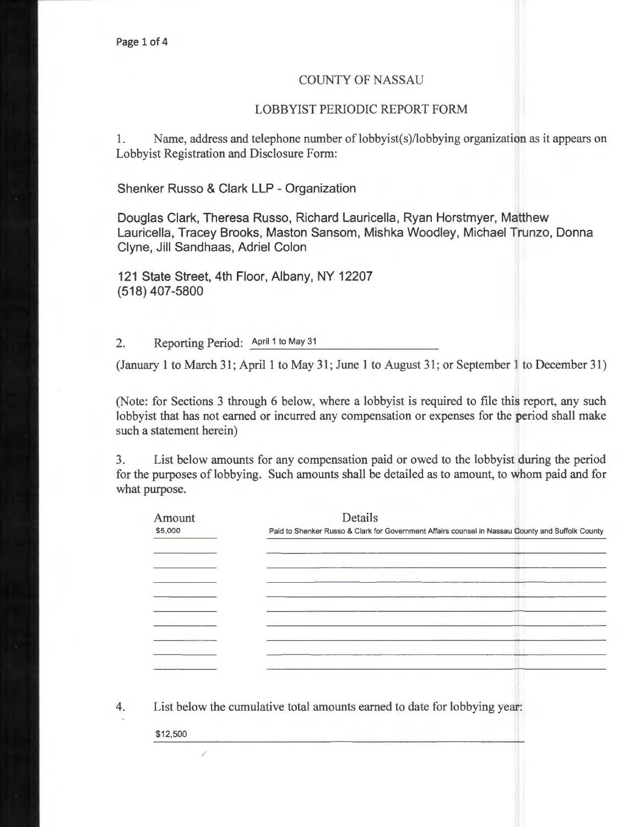## COUNTY OF NASSAU

## LOBBYIST PERIODIC REPORT FORM

1. Name, address and telephone number of lobbyist(s)/lobbying organization as it appears on Lobbyist Registration and Disclosure Form:

Shenker Russo & Clark **LLP** - Organization

Douglas Clark, Theresa Russo, Richard Lauricella, Ryan Horstmyer, Matthew Lauricella, Tracey Brooks, Maston Sansom, Mishka Woodley, Michael Trunzo, Donna Clyne, Jill Sandhaas, Adriel Colon

121 State Street, 4th Floor, Albany, NY 12207 (518) 407-5800

2. Reporting Period: April 1 to May 31

(January 1 to March 31; April 1 to May 31; June 1 to August 31; or September 1 to December 31)

(Note: for Sections 3 through 6 below, where a lobbyist is required to file this report, any such lobbyist that has not earned or incurred any compensation or expenses for the period shall make such a statement herein)

3. List below amounts for any compensation paid or owed to the lobbyist during the period for the purposes of lobbying. Such amounts shall be detailed as to amount, to whom paid and for what purpose.

4. List below the cumulative total amounts earned to date for lobbying year:

\$12,500

Ž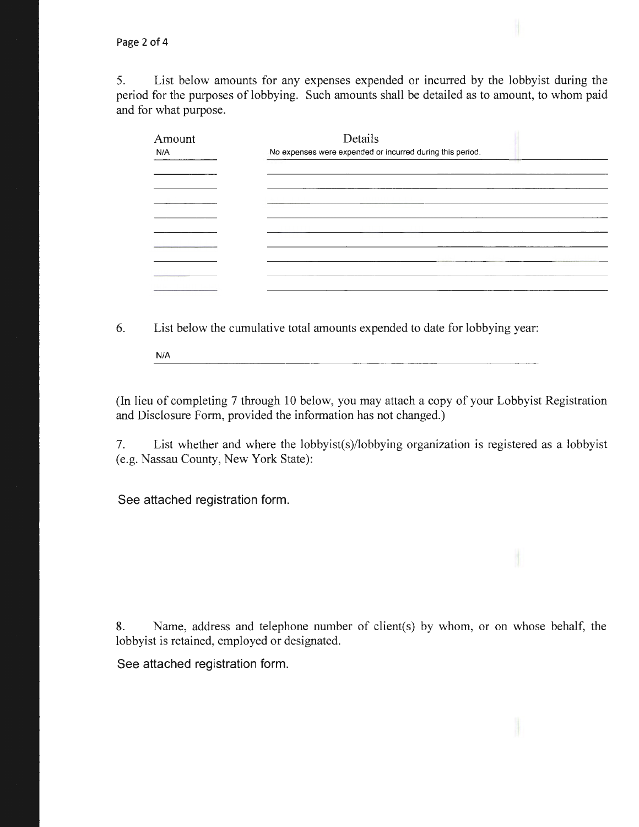5. List below amounts for any expenses expended or incurred by the lobbyist during the period for the purposes of lobbying. Such amounts shall be detailed as to amount, to whom paid and for what purpose.

| Amount<br>N/A | Details<br>No expenses were expended or incurred during this period. |
|---------------|----------------------------------------------------------------------|
|               |                                                                      |
|               |                                                                      |
|               |                                                                      |
|               |                                                                      |
|               |                                                                      |

6. List below the cumulative total amounts expended to date for lobbying year:

N/A

(In lieu of completing 7 through 10 below, you may attach a copy of your Lobbyist Registration and Disclosure Form, provided the information has not changed.)

7. List whether and where the lobbyist(s)/lobbying organization is registered as a lobbyist (e.g. Nassau County, New York State):

See attached registration form.

8. Name, address and telephone number of client(s) by whom, or on whose behalf, the lobbyist is retained, employed or designated.

See attached registration form.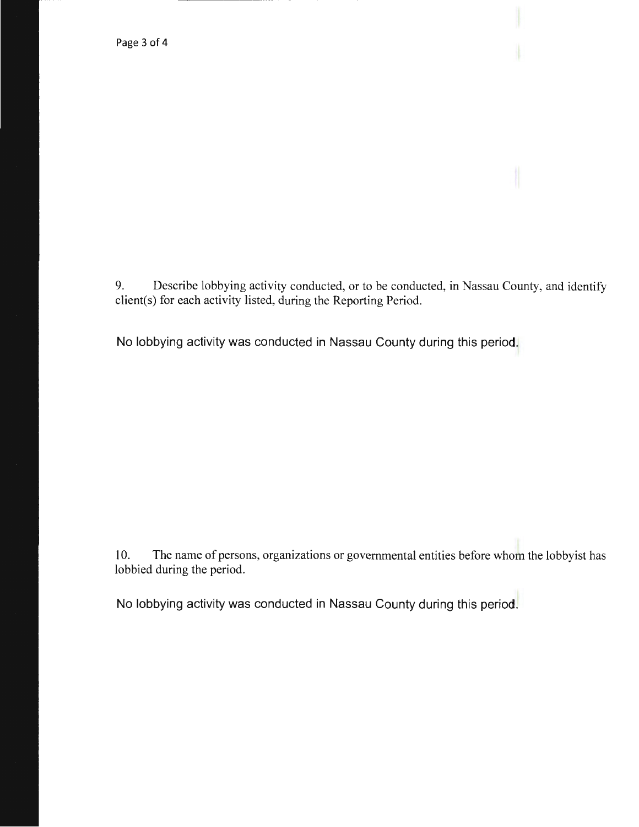9. Describe lobbying activity conducted, or to be conducted, in Nassau County, and identify client(s) for each activity listed, during the Reporting Period.

No lobbying activity was conducted in Nassau County during this period.

10. The name of persons, organizations or governmental entities before whom the lobbyist has lobbied during the period.

No lobbying activity was conducted in Nassau County during this period.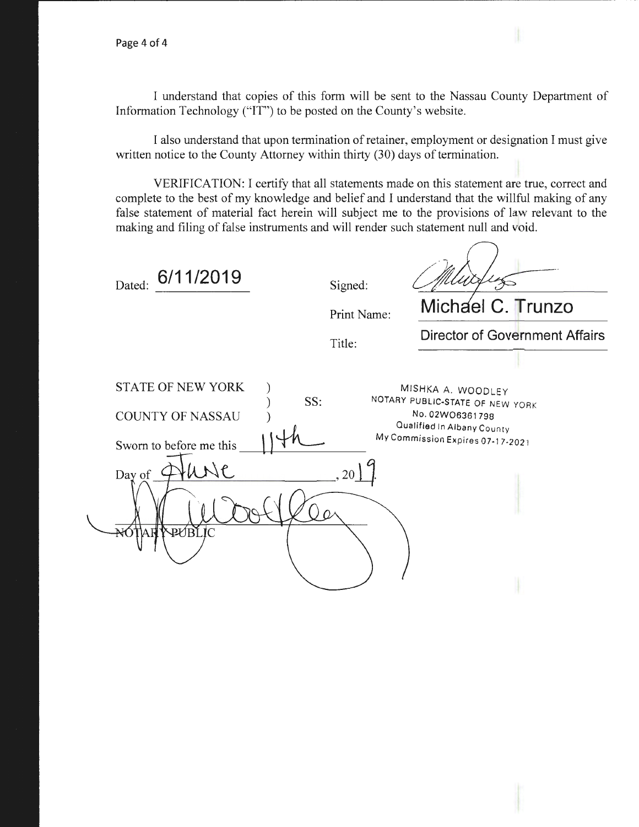I understand that copies of this form will be sent to the Nassau County Department of Information Technology ("IT") to be posted on the County's website.

I also understand that upon termination of retainer, employment or designation I must give written notice to the County Attorney within thirty (30) days of termination.

VERIFICATION: I certify that all statements made on this statement are true, correct and complete to the best of my knowledge and belief and I understand that the willful making of any false statement of material fact herein will subject me to the provisions of law relevant to the making and filing of false instruments and will render such statement null and void.

| 6/11/2019<br>Dated:                                                                                      | Signed:     |                                                                                                                                           |
|----------------------------------------------------------------------------------------------------------|-------------|-------------------------------------------------------------------------------------------------------------------------------------------|
|                                                                                                          | Print Name: | Michael C. Trunzo                                                                                                                         |
|                                                                                                          | Title:      | <b>Director of Government Affairs</b>                                                                                                     |
| <b>STATE OF NEW YORK</b><br><b>COUNTY OF NASSAU</b><br>Sworn to before me this<br>Day of<br>PUBLIC<br>ΑĦ | SS:<br>20   | MISHKA A. WOODLEY<br>NOTARY PUBLIC-STATE OF NEW YORK<br>No. 02W06361798<br>Qualified In Albany County<br>My Commission Expires 07-17-2021 |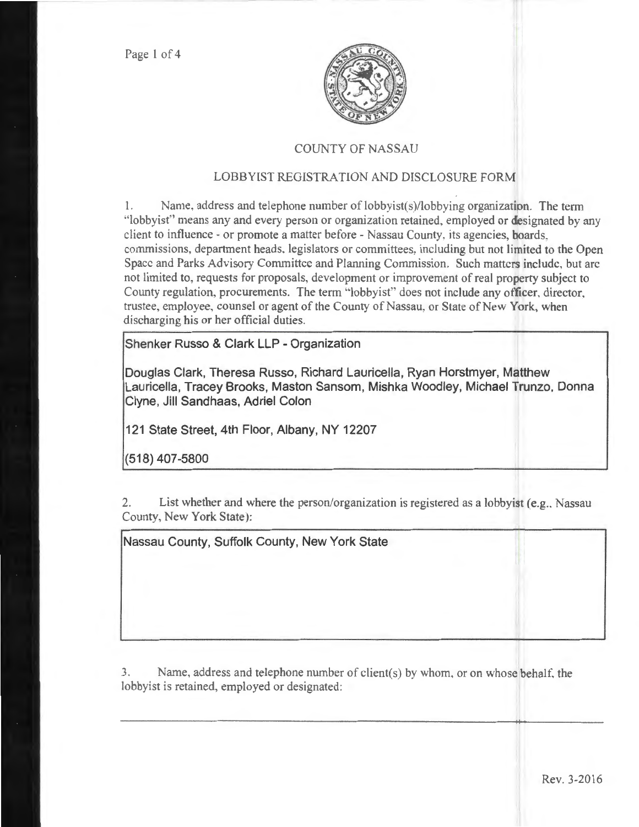Page 1 of 4



## COUNTY OF NASSAU

## LOBBYIST REGISTRATION AND DISCLOSURE FORM

1. Name. address and telephone number of lobbyist(s)/lobbying organization. The term "lobbyist" means any and every person or organization retained, employed or designated by any client to influence- or promote a matter before- Nassau County, its agencies, boards, commissions, department heads. legislators or committees, including but not limited to the Open Space and Parks Advisory Committee and Planning Commission. Such matters include, but arc not limited to, requests for proposals, development or improvement of real property subject to County regulation, procurements. The term ''lobbyist" does not include any officer. director, trustee, employee, counsel or agent of the County of Nassau, or State of New York, when discharging his or her official duties.

Shenker Russo & Clark LLP - Organization

Douglas Clark, Theresa Russo, Richard Lauricella, Ryan Horstmyer, Matthew Lauricella, Tracey Brooks, Maston Sansom, Mishka Woodley, Michael Trunzo, Donna Clyne, Jill Sandhaas, Adriel Colon

121 State Street, 4th Floor, Albany, NY 12207

(518) 407-5800

2. List whether and where the person/organization is registered as a lobbyist (e.g., Nassau County, New York State):

Nassau County, Suffolk County, New York State

3. Name, address and telephone number of client(s) by whom, or on whose behalf, the lobbyist is retained, employed or designated: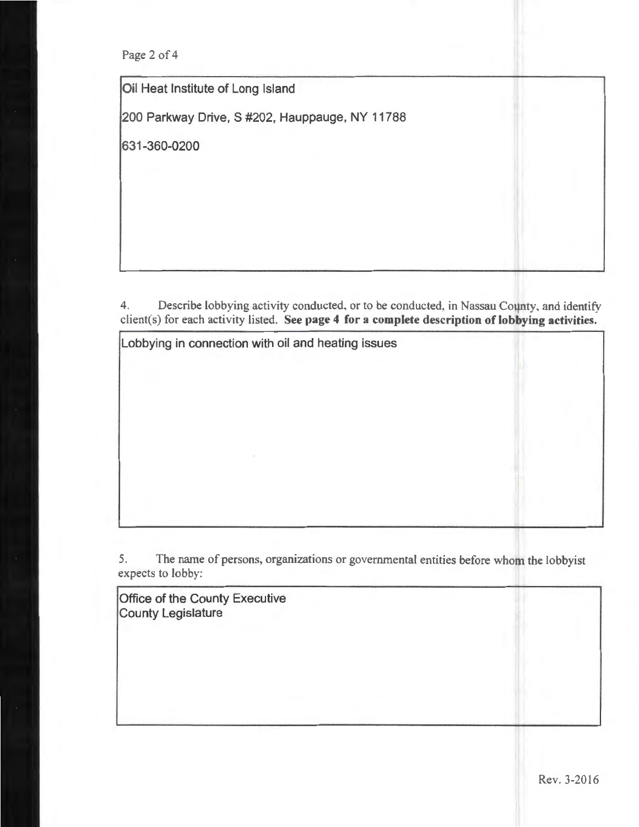Page 2 of 4

Oil Heat Institute of Long Island

200 Parkway Drive, S #202, Hauppauge, NY 11788

631-360-0200

4. Describe lobbying activity conducted, or to be conducted, in Nassau County, and identify client(s) for each activity listed. See page 4 for a complete description of lobbying activities.

Lobbying in connection with oil and heating issues

5. The name of persons, organizations or governmental entities before whom the lobbyist expects to lobby:

Office of the County Executive County Legislature